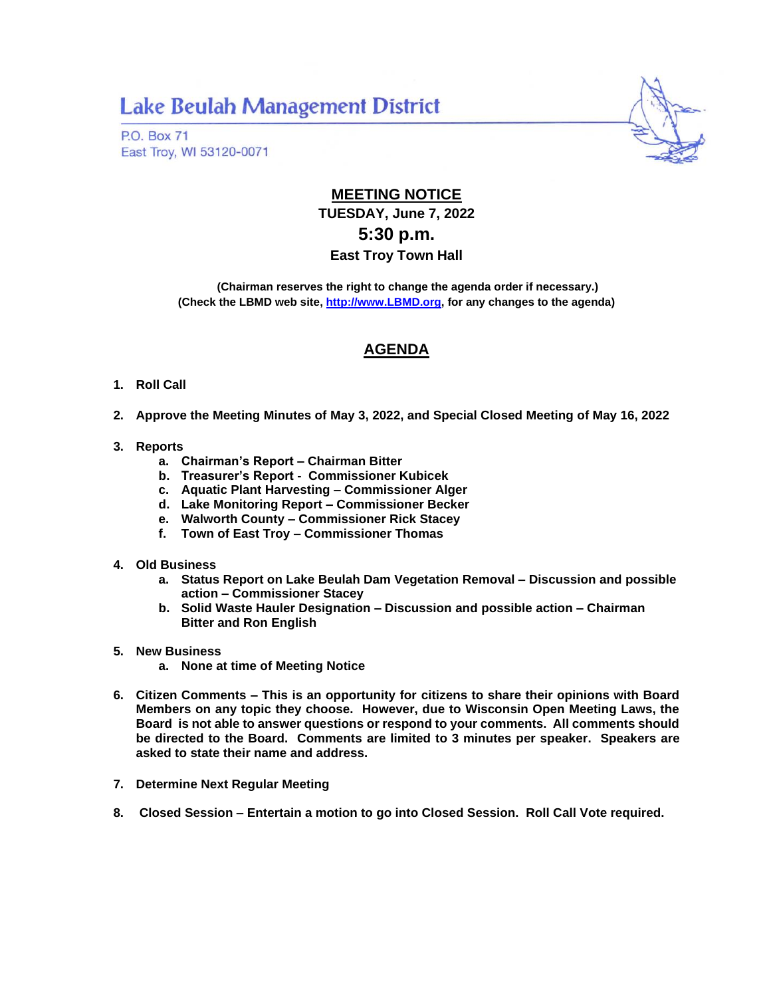## **Lake Beulah Management District**

**P.O. Box 71** East Troy, WI 53120-0071



## **MEETING NOTICE TUESDAY, June 7, 2022 5:30 p.m. East Troy Town Hall**

**(Chairman reserves the right to change the agenda order if necessary.) (Check the LBMD web site, [http://www.LBMD.org,](http://www.lbmd.org/) for any changes to the agenda)**

## **AGENDA**

- **1. Roll Call**
- **2. Approve the Meeting Minutes of May 3, 2022, and Special Closed Meeting of May 16, 2022**
- **3. Reports**
	- **a. Chairman's Report – Chairman Bitter**
	- **b. Treasurer's Report - Commissioner Kubicek**
	- **c. Aquatic Plant Harvesting – Commissioner Alger**
	- **d. Lake Monitoring Report – Commissioner Becker**
	- **e. Walworth County – Commissioner Rick Stacey**
	- **f. Town of East Troy – Commissioner Thomas**
- **4. Old Business**
	- **a. Status Report on Lake Beulah Dam Vegetation Removal – Discussion and possible action – Commissioner Stacey**
	- **b. Solid Waste Hauler Designation – Discussion and possible action – Chairman Bitter and Ron English**
- **5. New Business**
	- **a. None at time of Meeting Notice**
- **6. Citizen Comments – This is an opportunity for citizens to share their opinions with Board Members on any topic they choose. However, due to Wisconsin Open Meeting Laws, the Board is not able to answer questions or respond to your comments. All comments should be directed to the Board. Comments are limited to 3 minutes per speaker. Speakers are asked to state their name and address.**
- **7. Determine Next Regular Meeting**
- **8. Closed Session – Entertain a motion to go into Closed Session. Roll Call Vote required.**